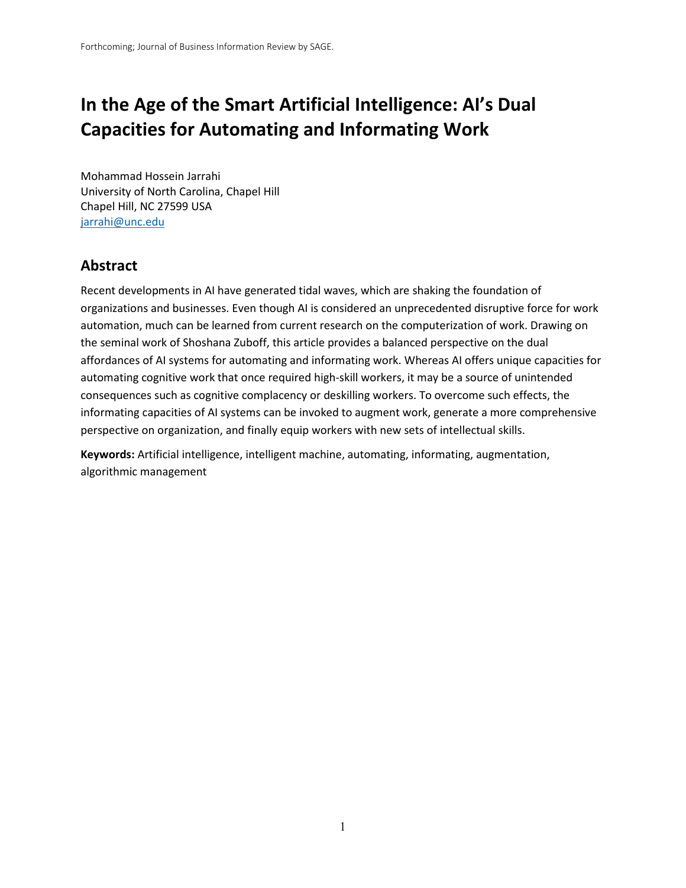# **In the Age of the Smart Artificial Intelligence: AI's Dual Capacities for Automating and Informating Work**

Mohammad Hossein Jarrahi University of North Carolina, Chapel Hill Chapel Hill, NC 27599 USA [jarrahi@unc.edu](mailto:jarrahi@unc.edu)

### **Abstract**

Recent developments in AI have generated tidal waves, which are shaking the foundation of organizations and businesses. Even though AI is considered an unprecedented disruptive force for work automation, much can be learned from current research on the computerization of work. Drawing on the seminal work of Shoshana Zuboff, this article provides a balanced perspective on the dual affordances of AI systems for automating and informating work. Whereas AI offers unique capacities for automating cognitive work that once required high-skill workers, it may be a source of unintended consequences such as cognitive complacency or deskilling workers. To overcome such effects, the informating capacities of AI systems can be invoked to augment work, generate a more comprehensive perspective on organization, and finally equip workers with new sets of intellectual skills.

**Keywords:** Artificial intelligence, intelligent machine, automating, informating, augmentation, algorithmic management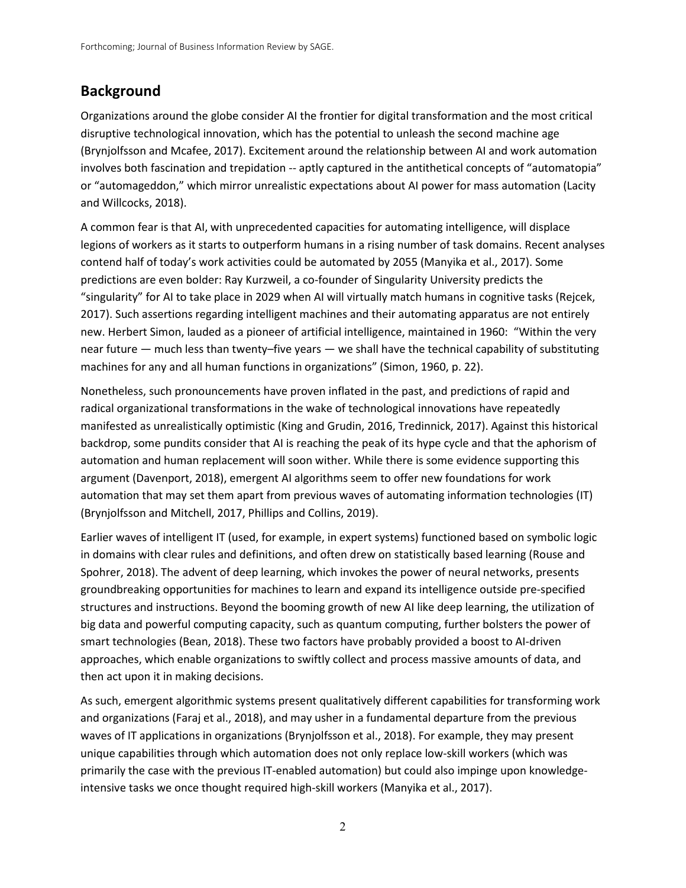# **Background**

Organizations around the globe consider AI the frontier for digital transformation and the most critical disruptive technological innovation, which has the potential to unleash the second machine age (Brynjolfsson and Mcafee, 2017). Excitement around the relationship between AI and work automation involves both fascination and trepidation -- aptly captured in the antithetical concepts of "automatopia" or "automageddon," which mirror unrealistic expectations about AI power for mass automation (Lacity and Willcocks, 2018).

A common fear is that AI, with unprecedented capacities for automating intelligence, will displace legions of workers as it starts to outperform humans in a rising number of task domains. Recent analyses contend half of today's work activities could be automated by 2055 (Manyika et al., 2017). Some predictions are even bolder: Ray Kurzweil, a co-founder of Singularity University predicts the "singularity" for AI to take place in 2029 when AI will virtually match humans in cognitive tasks (Rejcek, 2017). Such assertions regarding intelligent machines and their automating apparatus are not entirely new. Herbert Simon, lauded as a pioneer of artificial intelligence, maintained in 1960: "Within the very near future — much less than twenty–five years — we shall have the technical capability of substituting machines for any and all human functions in organizations" (Simon, 1960, p. 22).

Nonetheless, such pronouncements have proven inflated in the past, and predictions of rapid and radical organizational transformations in the wake of technological innovations have repeatedly manifested as unrealistically optimistic (King and Grudin, 2016, Tredinnick, 2017). Against this historical backdrop, some pundits consider that AI is reaching the peak of its hype cycle and that the aphorism of automation and human replacement will soon wither. While there is some evidence supporting this argument (Davenport, 2018), emergent AI algorithms seem to offer new foundations for work automation that may set them apart from previous waves of automating information technologies (IT) (Brynjolfsson and Mitchell, 2017, Phillips and Collins, 2019).

Earlier waves of intelligent IT (used, for example, in expert systems) functioned based on symbolic logic in domains with clear rules and definitions, and often drew on statistically based learning (Rouse and Spohrer, 2018). The advent of deep learning, which invokes the power of neural networks, presents groundbreaking opportunities for machines to learn and expand its intelligence outside pre-specified structures and instructions. Beyond the booming growth of new AI like deep learning, the utilization of big data and powerful computing capacity, such as quantum computing, further bolsters the power of smart technologies (Bean, 2018). These two factors have probably provided a boost to AI-driven approaches, which enable organizations to swiftly collect and process massive amounts of data, and then act upon it in making decisions.

As such, emergent algorithmic systems present qualitatively different capabilities for transforming work and organizations (Faraj et al., 2018), and may usher in a fundamental departure from the previous waves of IT applications in organizations (Brynjolfsson et al., 2018). For example, they may present unique capabilities through which automation does not only replace low-skill workers (which was primarily the case with the previous IT-enabled automation) but could also impinge upon knowledgeintensive tasks we once thought required high-skill workers (Manyika et al., 2017).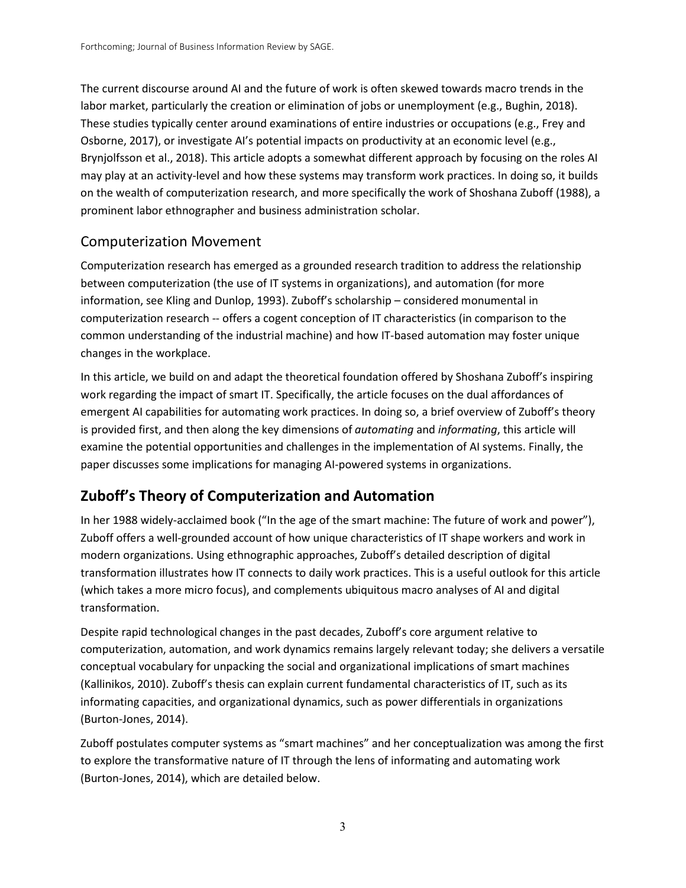The current discourse around AI and the future of work is often skewed towards macro trends in the labor market, particularly the creation or elimination of jobs or unemployment (e.g., Bughin, 2018). These studies typically center around examinations of entire industries or occupations (e.g., Frey and Osborne, 2017), or investigate AI's potential impacts on productivity at an economic level (e.g., Brynjolfsson et al., 2018). This article adopts a somewhat different approach by focusing on the roles AI may play at an activity-level and how these systems may transform work practices. In doing so, it builds on the wealth of computerization research, and more specifically the work of Shoshana Zuboff (1988), a prominent labor ethnographer and business administration scholar.

### Computerization Movement

Computerization research has emerged as a grounded research tradition to address the relationship between computerization (the use of IT systems in organizations), and automation (for more information, see Kling and Dunlop, 1993). Zuboff's scholarship – considered monumental in computerization research -- offers a cogent conception of IT characteristics (in comparison to the common understanding of the industrial machine) and how IT-based automation may foster unique changes in the workplace.

In this article, we build on and adapt the theoretical foundation offered by Shoshana Zuboff's inspiring work regarding the impact of smart IT. Specifically, the article focuses on the dual affordances of emergent AI capabilities for automating work practices. In doing so, a brief overview of Zuboff's theory is provided first, and then along the key dimensions of *automating* and *informating*, this article will examine the potential opportunities and challenges in the implementation of AI systems. Finally, the paper discusses some implications for managing AI-powered systems in organizations.

# **Zuboff's Theory of Computerization and Automation**

In her 1988 widely-acclaimed book ("In the age of the smart machine: The future of work and power"), Zuboff offers a well-grounded account of how unique characteristics of IT shape workers and work in modern organizations. Using ethnographic approaches, Zuboff's detailed description of digital transformation illustrates how IT connects to daily work practices. This is a useful outlook for this article (which takes a more micro focus), and complements ubiquitous macro analyses of AI and digital transformation.

Despite rapid technological changes in the past decades, Zuboff's core argument relative to computerization, automation, and work dynamics remains largely relevant today; she delivers a versatile conceptual vocabulary for unpacking the social and organizational implications of smart machines (Kallinikos, 2010). Zuboff's thesis can explain current fundamental characteristics of IT, such as its informating capacities, and organizational dynamics, such as power differentials in organizations (Burton-Jones, 2014).

Zuboff postulates computer systems as "smart machines" and her conceptualization was among the first to explore the transformative nature of IT through the lens of informating and automating work (Burton-Jones, 2014), which are detailed below.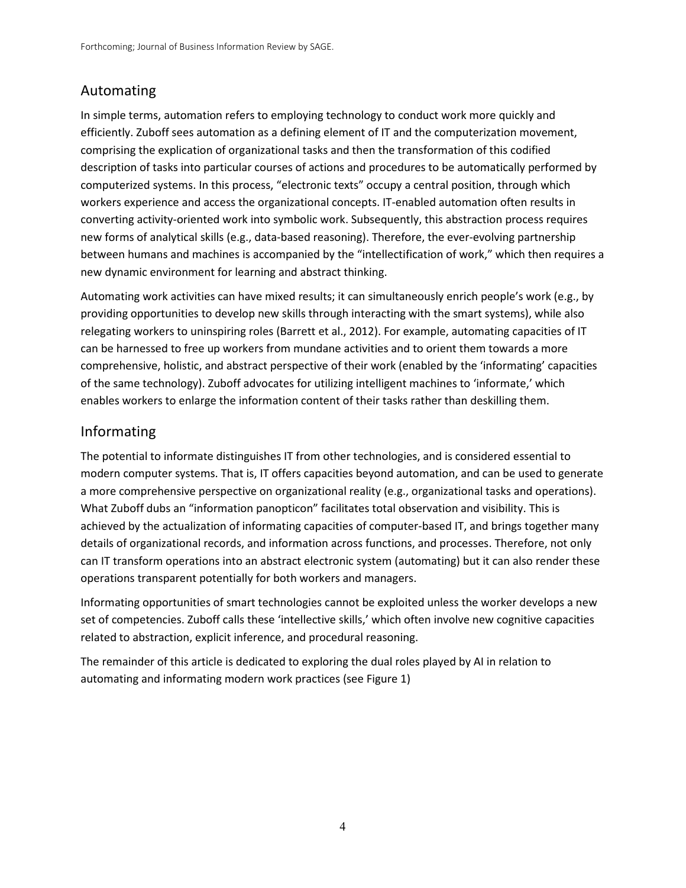# Automating

In simple terms, automation refers to employing technology to conduct work more quickly and efficiently. Zuboff sees automation as a defining element of IT and the computerization movement, comprising the explication of organizational tasks and then the transformation of this codified description of tasks into particular courses of actions and procedures to be automatically performed by computerized systems. In this process, "electronic texts" occupy a central position, through which workers experience and access the organizational concepts. IT-enabled automation often results in converting activity-oriented work into symbolic work. Subsequently, this abstraction process requires new forms of analytical skills (e.g., data-based reasoning). Therefore, the ever-evolving partnership between humans and machines is accompanied by the "intellectification of work," which then requires a new dynamic environment for learning and abstract thinking.

Automating work activities can have mixed results; it can simultaneously enrich people's work (e.g., by providing opportunities to develop new skills through interacting with the smart systems), while also relegating workers to uninspiring roles (Barrett et al., 2012). For example, automating capacities of IT can be harnessed to free up workers from mundane activities and to orient them towards a more comprehensive, holistic, and abstract perspective of their work (enabled by the 'informating' capacities of the same technology). Zuboff advocates for utilizing intelligent machines to 'informate,' which enables workers to enlarge the information content of their tasks rather than deskilling them.

### Informating

The potential to informate distinguishes IT from other technologies, and is considered essential to modern computer systems. That is, IT offers capacities beyond automation, and can be used to generate a more comprehensive perspective on organizational reality (e.g., organizational tasks and operations). What Zuboff dubs an "information panopticon" facilitates total observation and visibility. This is achieved by the actualization of informating capacities of computer-based IT, and brings together many details of organizational records, and information across functions, and processes. Therefore, not only can IT transform operations into an abstract electronic system (automating) but it can also render these operations transparent potentially for both workers and managers.

Informating opportunities of smart technologies cannot be exploited unless the worker develops a new set of competencies. Zuboff calls these 'intellective skills,' which often involve new cognitive capacities related to abstraction, explicit inference, and procedural reasoning.

The remainder of this article is dedicated to exploring the dual roles played by AI in relation to automating and informating modern work practices (see Figure 1)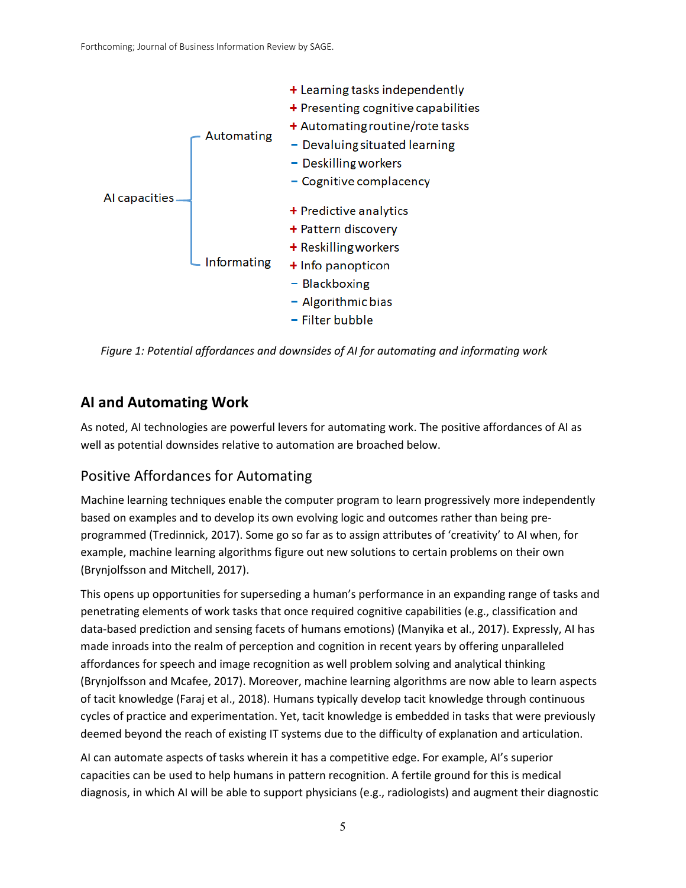

*Figure 1: Potential affordances and downsides of AI for automating and informating work* 

# **AI and Automating Work**

As noted, AI technologies are powerful levers for automating work. The positive affordances of AI as well as potential downsides relative to automation are broached below.

# Positive Affordances for Automating

Machine learning techniques enable the computer program to learn progressively more independently based on examples and to develop its own evolving logic and outcomes rather than being preprogrammed (Tredinnick, 2017). Some go so far as to assign attributes of 'creativity' to AI when, for example, machine learning algorithms figure out new solutions to certain problems on their own (Brynjolfsson and Mitchell, 2017).

This opens up opportunities for superseding a human's performance in an expanding range of tasks and penetrating elements of work tasks that once required cognitive capabilities (e.g., classification and data-based prediction and sensing facets of humans emotions) (Manyika et al., 2017). Expressly, AI has made inroads into the realm of perception and cognition in recent years by offering unparalleled affordances for speech and image recognition as well problem solving and analytical thinking (Brynjolfsson and Mcafee, 2017). Moreover, machine learning algorithms are now able to learn aspects of tacit knowledge (Faraj et al., 2018). Humans typically develop tacit knowledge through continuous cycles of practice and experimentation. Yet, tacit knowledge is embedded in tasks that were previously deemed beyond the reach of existing IT systems due to the difficulty of explanation and articulation.

AI can automate aspects of tasks wherein it has a competitive edge. For example, AI's superior capacities can be used to help humans in pattern recognition. A fertile ground for this is medical diagnosis, in which AI will be able to support physicians (e.g., radiologists) and augment their diagnostic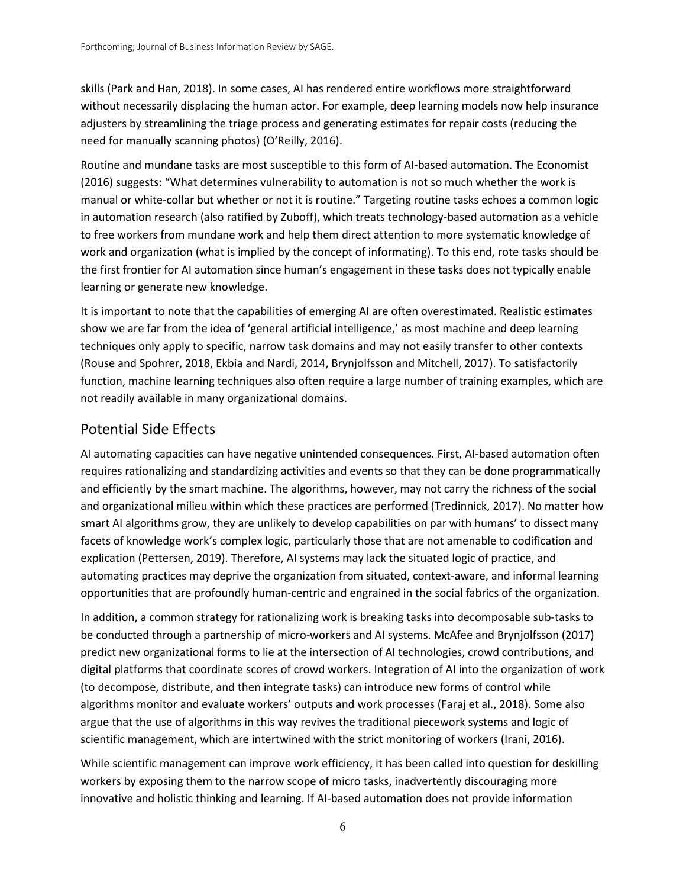skills (Park and Han, 2018). In some cases, AI has rendered entire workflows more straightforward without necessarily displacing the human actor. For example, deep learning models now help insurance adjusters by streamlining the triage process and generating estimates for repair costs (reducing the need for manually scanning photos) (O'Reilly, 2016).

Routine and mundane tasks are most susceptible to this form of AI-based automation. The Economist (2016) suggests: "What determines vulnerability to automation is not so much whether the work is manual or white-collar but whether or not it is routine." Targeting routine tasks echoes a common logic in automation research (also ratified by Zuboff), which treats technology-based automation as a vehicle to free workers from mundane work and help them direct attention to more systematic knowledge of work and organization (what is implied by the concept of informating). To this end, rote tasks should be the first frontier for AI automation since human's engagement in these tasks does not typically enable learning or generate new knowledge.

It is important to note that the capabilities of emerging AI are often overestimated. Realistic estimates show we are far from the idea of 'general artificial intelligence,' as most machine and deep learning techniques only apply to specific, narrow task domains and may not easily transfer to other contexts (Rouse and Spohrer, 2018, Ekbia and Nardi, 2014, Brynjolfsson and Mitchell, 2017). To satisfactorily function, machine learning techniques also often require a large number of training examples, which are not readily available in many organizational domains.

#### Potential Side Effects

AI automating capacities can have negative unintended consequences. First, AI-based automation often requires rationalizing and standardizing activities and events so that they can be done programmatically and efficiently by the smart machine. The algorithms, however, may not carry the richness of the social and organizational milieu within which these practices are performed (Tredinnick, 2017). No matter how smart AI algorithms grow, they are unlikely to develop capabilities on par with humans' to dissect many facets of knowledge work's complex logic, particularly those that are not amenable to codification and explication (Pettersen, 2019). Therefore, AI systems may lack the situated logic of practice, and automating practices may deprive the organization from situated, context-aware, and informal learning opportunities that are profoundly human-centric and engrained in the social fabrics of the organization.

In addition, a common strategy for rationalizing work is breaking tasks into decomposable sub-tasks to be conducted through a partnership of micro-workers and AI systems. McAfee and Brynjolfsson (2017) predict new organizational forms to lie at the intersection of AI technologies, crowd contributions, and digital platforms that coordinate scores of crowd workers. Integration of AI into the organization of work (to decompose, distribute, and then integrate tasks) can introduce new forms of control while algorithms monitor and evaluate workers' outputs and work processes (Faraj et al., 2018). Some also argue that the use of algorithms in this way revives the traditional piecework systems and logic of scientific management, which are intertwined with the strict monitoring of workers (Irani, 2016).

While scientific management can improve work efficiency, it has been called into question for deskilling workers by exposing them to the narrow scope of micro tasks, inadvertently discouraging more innovative and holistic thinking and learning. If AI-based automation does not provide information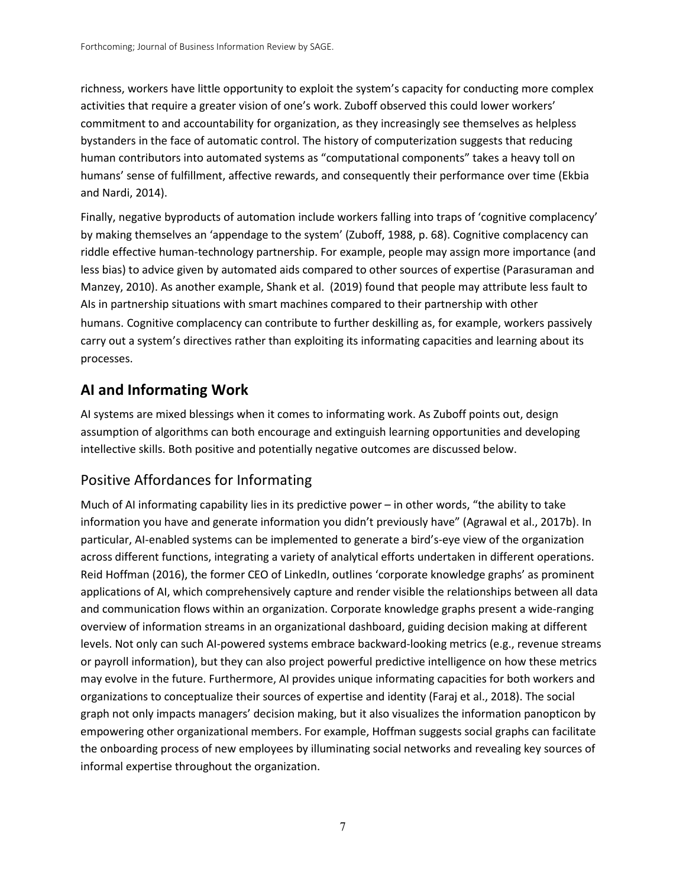richness, workers have little opportunity to exploit the system's capacity for conducting more complex activities that require a greater vision of one's work. Zuboff observed this could lower workers' commitment to and accountability for organization, as they increasingly see themselves as helpless bystanders in the face of automatic control. The history of computerization suggests that reducing human contributors into automated systems as "computational components" takes a heavy toll on humans' sense of fulfillment, affective rewards, and consequently their performance over time (Ekbia and Nardi, 2014).

Finally, negative byproducts of automation include workers falling into traps of 'cognitive complacency' by making themselves an 'appendage to the system' (Zuboff, 1988, p. 68). Cognitive complacency can riddle effective human-technology partnership. For example, people may assign more importance (and less bias) to advice given by automated aids compared to other sources of expertise (Parasuraman and Manzey, 2010). As another example, Shank et al. (2019) found that people may attribute less fault to AIs in partnership situations with smart machines compared to their partnership with other humans. Cognitive complacency can contribute to further deskilling as, for example, workers passively carry out a system's directives rather than exploiting its informating capacities and learning about its processes.

# **AI and Informating Work**

AI systems are mixed blessings when it comes to informating work. As Zuboff points out, design assumption of algorithms can both encourage and extinguish learning opportunities and developing intellective skills. Both positive and potentially negative outcomes are discussed below.

# Positive Affordances for Informating

Much of AI informating capability lies in its predictive power – in other words, "the ability to take information you have and generate information you didn't previously have" (Agrawal et al., 2017b). In particular, AI-enabled systems can be implemented to generate a bird's-eye view of the organization across different functions, integrating a variety of analytical efforts undertaken in different operations. Reid Hoffman (2016), the former CEO of LinkedIn, outlines 'corporate knowledge graphs' as prominent applications of AI, which comprehensively capture and render visible the relationships between all data and communication flows within an organization. Corporate knowledge graphs present a wide-ranging overview of information streams in an organizational dashboard, guiding decision making at different levels. Not only can such AI-powered systems embrace backward-looking metrics (e.g., revenue streams or payroll information), but they can also project powerful predictive intelligence on how these metrics may evolve in the future. Furthermore, AI provides unique informating capacities for both workers and organizations to conceptualize their sources of expertise and identity (Faraj et al., 2018). The social graph not only impacts managers' decision making, but it also visualizes the information panopticon by empowering other organizational members. For example, Hoffman suggests social graphs can facilitate the onboarding process of new employees by illuminating social networks and revealing key sources of informal expertise throughout the organization.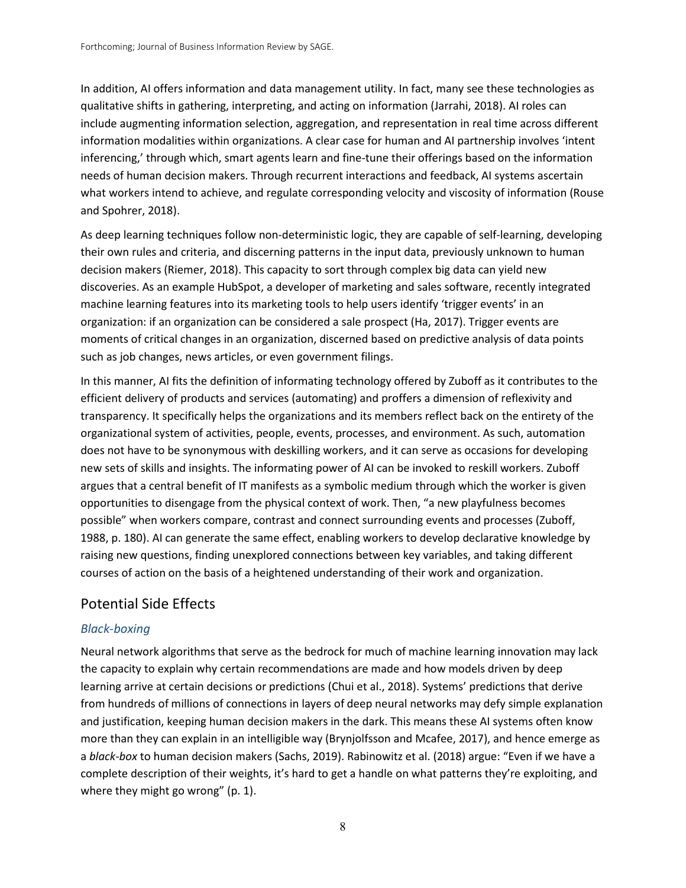In addition, AI offers information and data management utility. In fact, many see these technologies as qualitative shifts in gathering, interpreting, and acting on information (Jarrahi, 2018). AI roles can include augmenting information selection, aggregation, and representation in real time across different information modalities within organizations. A clear case for human and AI partnership involves 'intent inferencing,' through which, smart agents learn and fine-tune their offerings based on the information needs of human decision makers. Through recurrent interactions and feedback, AI systems ascertain what workers intend to achieve, and regulate corresponding velocity and viscosity of information (Rouse and Spohrer, 2018).

As deep learning techniques follow non-deterministic logic, they are capable of self-learning, developing their own rules and criteria, and discerning patterns in the input data, previously unknown to human decision makers (Riemer, 2018). This capacity to sort through complex big data can yield new discoveries. As an example HubSpot, a developer of marketing and sales software, recently integrated machine learning features into its marketing tools to help users identify 'trigger events' in an organization: if an organization can be considered a sale prospect (Ha, 2017). Trigger events are moments of critical changes in an organization, discerned based on predictive analysis of data points such as job changes, news articles, or even government filings.

In this manner, AI fits the definition of informating technology offered by Zuboff as it contributes to the efficient delivery of products and services (automating) and proffers a dimension of reflexivity and transparency. It specifically helps the organizations and its members reflect back on the entirety of the organizational system of activities, people, events, processes, and environment. As such, automation does not have to be synonymous with deskilling workers, and it can serve as occasions for developing new sets of skills and insights. The informating power of AI can be invoked to reskill workers. Zuboff argues that a central benefit of IT manifests as a symbolic medium through which the worker is given opportunities to disengage from the physical context of work. Then, "a new playfulness becomes possible" when workers compare, contrast and connect surrounding events and processes (Zuboff, 1988, p. 180). AI can generate the same effect, enabling workers to develop declarative knowledge by raising new questions, finding unexplored connections between key variables, and taking different courses of action on the basis of a heightened understanding of their work and organization.

#### Potential Side Effects

#### *Black-boxing*

Neural network algorithms that serve as the bedrock for much of machine learning innovation may lack the capacity to explain why certain recommendations are made and how models driven by deep learning arrive at certain decisions or predictions (Chui et al., 2018). Systems' predictions that derive from hundreds of millions of connections in layers of deep neural networks may defy simple explanation and justification, keeping human decision makers in the dark. This means these AI systems often know more than they can explain in an intelligible way (Brynjolfsson and Mcafee, 2017), and hence emerge as a *black-box* to human decision makers (Sachs, 2019). Rabinowitz et al. (2018) argue: "Even if we have a complete description of their weights, it's hard to get a handle on what patterns they're exploiting, and where they might go wrong" (p. 1).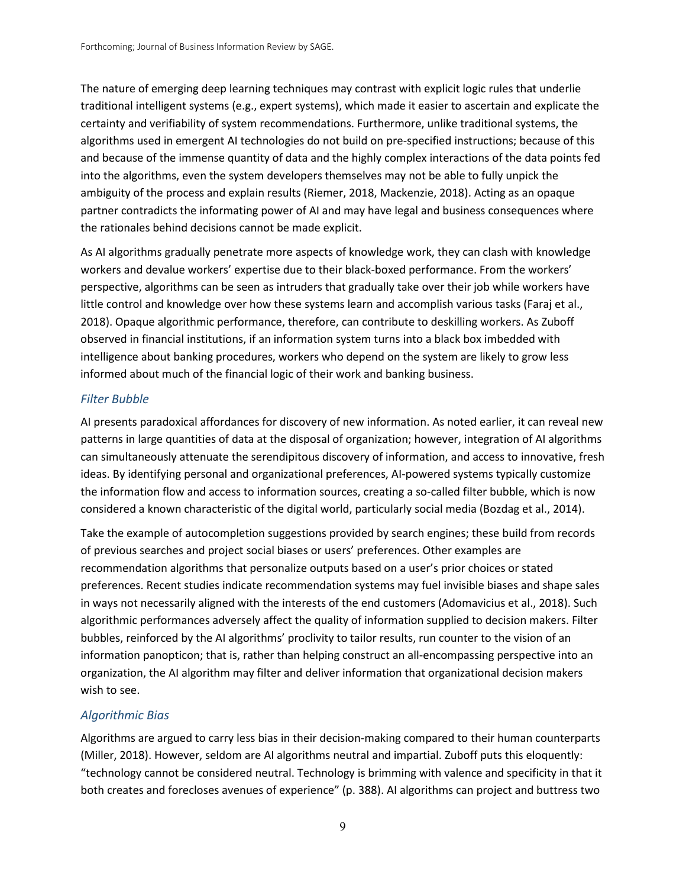The nature of emerging deep learning techniques may contrast with explicit logic rules that underlie traditional intelligent systems (e.g., expert systems), which made it easier to ascertain and explicate the certainty and verifiability of system recommendations. Furthermore, unlike traditional systems, the algorithms used in emergent AI technologies do not build on pre-specified instructions; because of this and because of the immense quantity of data and the highly complex interactions of the data points fed into the algorithms, even the system developers themselves may not be able to fully unpick the ambiguity of the process and explain results (Riemer, 2018, Mackenzie, 2018). Acting as an opaque partner contradicts the informating power of AI and may have legal and business consequences where the rationales behind decisions cannot be made explicit.

As AI algorithms gradually penetrate more aspects of knowledge work, they can clash with knowledge workers and devalue workers' expertise due to their black-boxed performance. From the workers' perspective, algorithms can be seen as intruders that gradually take over their job while workers have little control and knowledge over how these systems learn and accomplish various tasks (Faraj et al., 2018). Opaque algorithmic performance, therefore, can contribute to deskilling workers. As Zuboff observed in financial institutions, if an information system turns into a black box imbedded with intelligence about banking procedures, workers who depend on the system are likely to grow less informed about much of the financial logic of their work and banking business.

#### *Filter Bubble*

AI presents paradoxical affordances for discovery of new information. As noted earlier, it can reveal new patterns in large quantities of data at the disposal of organization; however, integration of AI algorithms can simultaneously attenuate the serendipitous discovery of information, and access to innovative, fresh ideas. By identifying personal and organizational preferences, AI-powered systems typically customize the information flow and access to information sources, creating a so-called filter bubble, which is now considered a known characteristic of the digital world, particularly social media (Bozdag et al., 2014).

Take the example of autocompletion suggestions provided by search engines; these build from records of previous searches and project social biases or users' preferences. Other examples are recommendation algorithms that personalize outputs based on a user's prior choices or stated preferences. Recent studies indicate recommendation systems may fuel invisible biases and shape sales in ways not necessarily aligned with the interests of the end customers (Adomavicius et al., 2018). Such algorithmic performances adversely affect the quality of information supplied to decision makers. Filter bubbles, reinforced by the AI algorithms' proclivity to tailor results, run counter to the vision of an information panopticon; that is, rather than helping construct an all-encompassing perspective into an organization, the AI algorithm may filter and deliver information that organizational decision makers wish to see.

#### *Algorithmic Bias*

Algorithms are argued to carry less bias in their decision-making compared to their human counterparts (Miller, 2018). However, seldom are AI algorithms neutral and impartial. Zuboff puts this eloquently: "technology cannot be considered neutral. Technology is brimming with valence and specificity in that it both creates and forecloses avenues of experience" (p. 388). AI algorithms can project and buttress two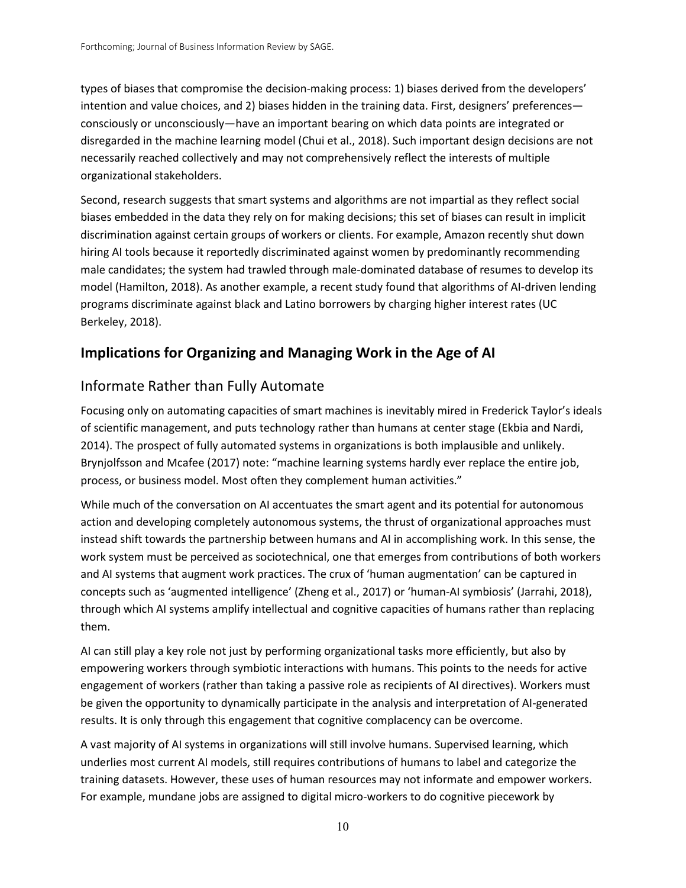types of biases that compromise the decision-making process: 1) biases derived from the developers' intention and value choices, and 2) biases hidden in the training data. First, designers' preferences consciously or unconsciously—have an important bearing on which data points are integrated or disregarded in the machine learning model (Chui et al., 2018). Such important design decisions are not necessarily reached collectively and may not comprehensively reflect the interests of multiple organizational stakeholders.

Second, research suggests that smart systems and algorithms are not impartial as they reflect social biases embedded in the data they rely on for making decisions; this set of biases can result in implicit discrimination against certain groups of workers or clients. For example, Amazon recently shut down hiring AI tools because it reportedly discriminated against women by predominantly recommending male candidates; the system had trawled through male-dominated database of resumes to develop its model (Hamilton, 2018). As another example, a recent study found that algorithms of AI-driven lending programs discriminate against black and Latino borrowers by charging higher interest rates (UC Berkeley, 2018).

# **Implications for Organizing and Managing Work in the Age of AI**

# Informate Rather than Fully Automate

Focusing only on automating capacities of smart machines is inevitably mired in Frederick Taylor's ideals of scientific management, and puts technology rather than humans at center stage (Ekbia and Nardi, 2014). The prospect of fully automated systems in organizations is both implausible and unlikely. Brynjolfsson and Mcafee (2017) note: "machine learning systems hardly ever replace the entire job, process, or business model. Most often they complement human activities."

While much of the conversation on AI accentuates the smart agent and its potential for autonomous action and developing completely autonomous systems, the thrust of organizational approaches must instead shift towards the partnership between humans and AI in accomplishing work. In this sense, the work system must be perceived as sociotechnical, one that emerges from contributions of both workers and AI systems that augment work practices. The crux of 'human augmentation' can be captured in concepts such as 'augmented intelligence' (Zheng et al., 2017) or 'human-AI symbiosis' (Jarrahi, 2018), through which AI systems amplify intellectual and cognitive capacities of humans rather than replacing them.

AI can still play a key role not just by performing organizational tasks more efficiently, but also by empowering workers through symbiotic interactions with humans. This points to the needs for active engagement of workers (rather than taking a passive role as recipients of AI directives). Workers must be given the opportunity to dynamically participate in the analysis and interpretation of AI-generated results. It is only through this engagement that cognitive complacency can be overcome.

A vast majority of AI systems in organizations will still involve humans. Supervised learning, which underlies most current AI models, still requires contributions of humans to label and categorize the training datasets. However, these uses of human resources may not informate and empower workers. For example, mundane jobs are assigned to digital micro-workers to do cognitive piecework by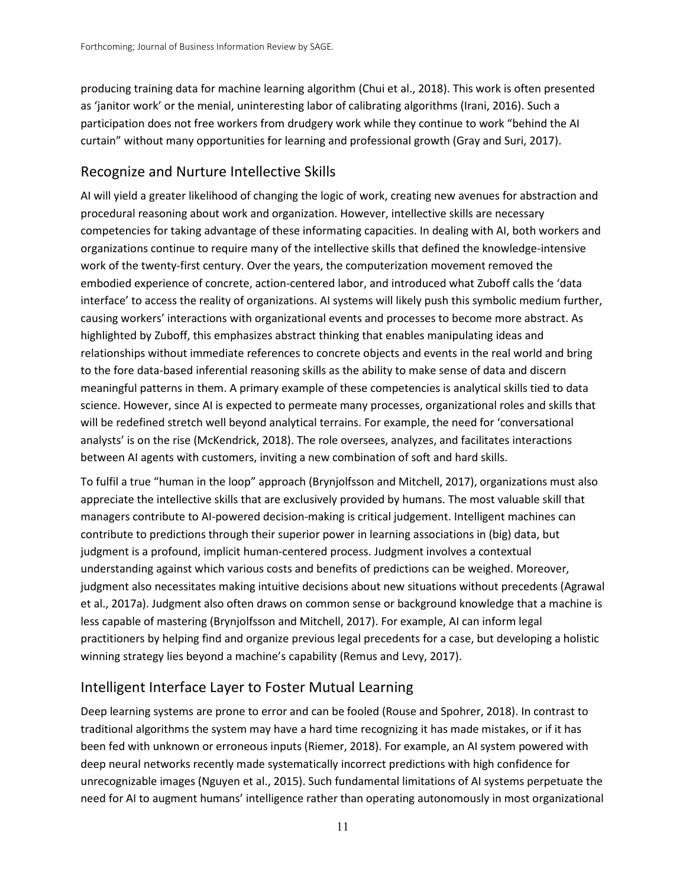producing training data for machine learning algorithm (Chui et al., 2018). This work is often presented as 'janitor work' or the menial, uninteresting labor of calibrating algorithms (Irani, 2016). Such a participation does not free workers from drudgery work while they continue to work "behind the AI curtain" without many opportunities for learning and professional growth (Gray and Suri, 2017).

# Recognize and Nurture Intellective Skills

AI will yield a greater likelihood of changing the logic of work, creating new avenues for abstraction and procedural reasoning about work and organization. However, intellective skills are necessary competencies for taking advantage of these informating capacities. In dealing with AI, both workers and organizations continue to require many of the intellective skills that defined the knowledge-intensive work of the twenty-first century. Over the years, the computerization movement removed the embodied experience of concrete, action-centered labor, and introduced what Zuboff calls the 'data interface' to access the reality of organizations. AI systems will likely push this symbolic medium further, causing workers' interactions with organizational events and processes to become more abstract. As highlighted by Zuboff, this emphasizes abstract thinking that enables manipulating ideas and relationships without immediate references to concrete objects and events in the real world and bring to the fore data-based inferential reasoning skills as the ability to make sense of data and discern meaningful patterns in them. A primary example of these competencies is analytical skills tied to data science. However, since AI is expected to permeate many processes, organizational roles and skills that will be redefined stretch well beyond analytical terrains. For example, the need for 'conversational analysts' is on the rise (McKendrick, 2018). The role oversees, analyzes, and facilitates interactions between AI agents with customers, inviting a new combination of soft and hard skills.

To fulfil a true "human in the loop" approach (Brynjolfsson and Mitchell, 2017), organizations must also appreciate the intellective skills that are exclusively provided by humans. The most valuable skill that managers contribute to AI-powered decision-making is critical judgement. Intelligent machines can contribute to predictions through their superior power in learning associations in (big) data, but judgment is a profound, implicit human-centered process. Judgment involves a contextual understanding against which various costs and benefits of predictions can be weighed. Moreover, judgment also necessitates making intuitive decisions about new situations without precedents (Agrawal et al., 2017a). Judgment also often draws on common sense or background knowledge that a machine is less capable of mastering (Brynjolfsson and Mitchell, 2017). For example, AI can inform legal practitioners by helping find and organize previous legal precedents for a case, but developing a holistic winning strategy lies beyond a machine's capability (Remus and Levy, 2017).

# Intelligent Interface Layer to Foster Mutual Learning

Deep learning systems are prone to error and can be fooled (Rouse and Spohrer, 2018). In contrast to traditional algorithms the system may have a hard time recognizing it has made mistakes, or if it has been fed with unknown or erroneous inputs (Riemer, 2018). For example, an AI system powered with deep neural networks recently made systematically incorrect predictions with high confidence for unrecognizable images (Nguyen et al., 2015). Such fundamental limitations of AI systems perpetuate the need for AI to augment humans' intelligence rather than operating autonomously in most organizational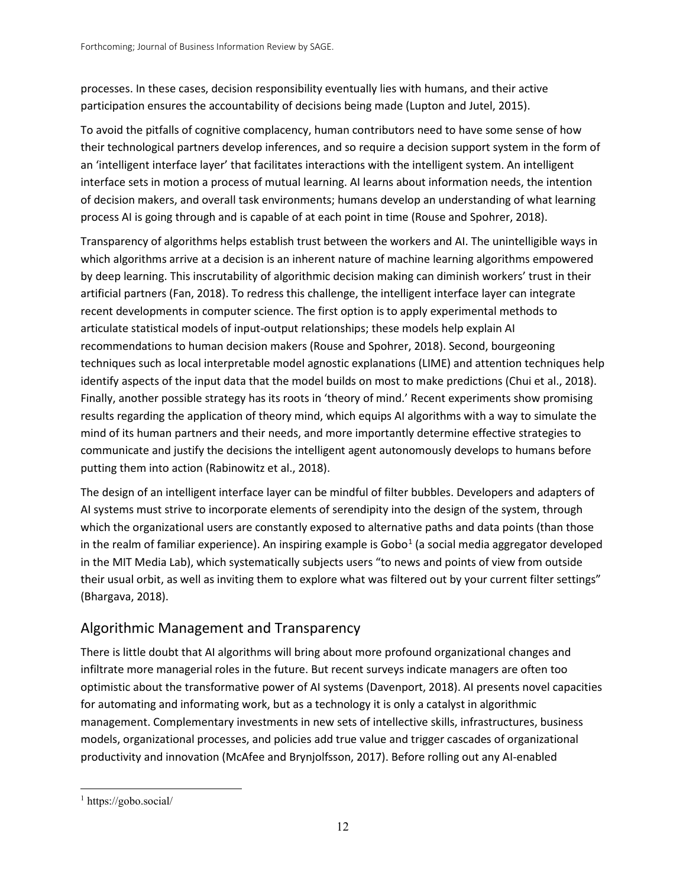processes. In these cases, decision responsibility eventually lies with humans, and their active participation ensures the accountability of decisions being made (Lupton and Jutel, 2015).

To avoid the pitfalls of cognitive complacency, human contributors need to have some sense of how their technological partners develop inferences, and so require a decision support system in the form of an 'intelligent interface layer' that facilitates interactions with the intelligent system. An intelligent interface sets in motion a process of mutual learning. AI learns about information needs, the intention of decision makers, and overall task environments; humans develop an understanding of what learning process AI is going through and is capable of at each point in time (Rouse and Spohrer, 2018).

Transparency of algorithms helps establish trust between the workers and AI. The unintelligible ways in which algorithms arrive at a decision is an inherent nature of machine learning algorithms empowered by deep learning. This inscrutability of algorithmic decision making can diminish workers' trust in their artificial partners (Fan, 2018). To redress this challenge, the intelligent interface layer can integrate recent developments in computer science. The first option is to apply experimental methods to articulate statistical models of input-output relationships; these models help explain AI recommendations to human decision makers (Rouse and Spohrer, 2018). Second, bourgeoning techniques such as local interpretable model agnostic explanations (LIME) and attention techniques help identify aspects of the input data that the model builds on most to make predictions (Chui et al., 2018). Finally, another possible strategy has its roots in 'theory of mind.' Recent experiments show promising results regarding the application of theory mind, which equips AI algorithms with a way to simulate the mind of its human partners and their needs, and more importantly determine effective strategies to communicate and justify the decisions the intelligent agent autonomously develops to humans before putting them into action (Rabinowitz et al., 2018).

The design of an intelligent interface layer can be mindful of filter bubbles. Developers and adapters of AI systems must strive to incorporate elements of serendipity into the design of the system, through which the organizational users are constantly exposed to alternative paths and data points (than those in the realm of familiar experience). An inspiring example is  $Gobo<sup>1</sup>$  $Gobo<sup>1</sup>$  $Gobo<sup>1</sup>$  (a social media aggregator developed in the MIT Media Lab), which systematically subjects users "to news and points of view from outside their usual orbit, as well as inviting them to explore what was filtered out by your current filter settings" (Bhargava, 2018).

# Algorithmic Management and Transparency

There is little doubt that AI algorithms will bring about more profound organizational changes and infiltrate more managerial roles in the future. But recent surveys indicate managers are often too optimistic about the transformative power of AI systems (Davenport, 2018). AI presents novel capacities for automating and informating work, but as a technology it is only a catalyst in algorithmic management. Complementary investments in new sets of intellective skills, infrastructures, business models, organizational processes, and policies add true value and trigger cascades of organizational productivity and innovation (McAfee and Brynjolfsson, 2017). Before rolling out any AI-enabled

<span id="page-11-0"></span><sup>1</sup> https://gobo.social/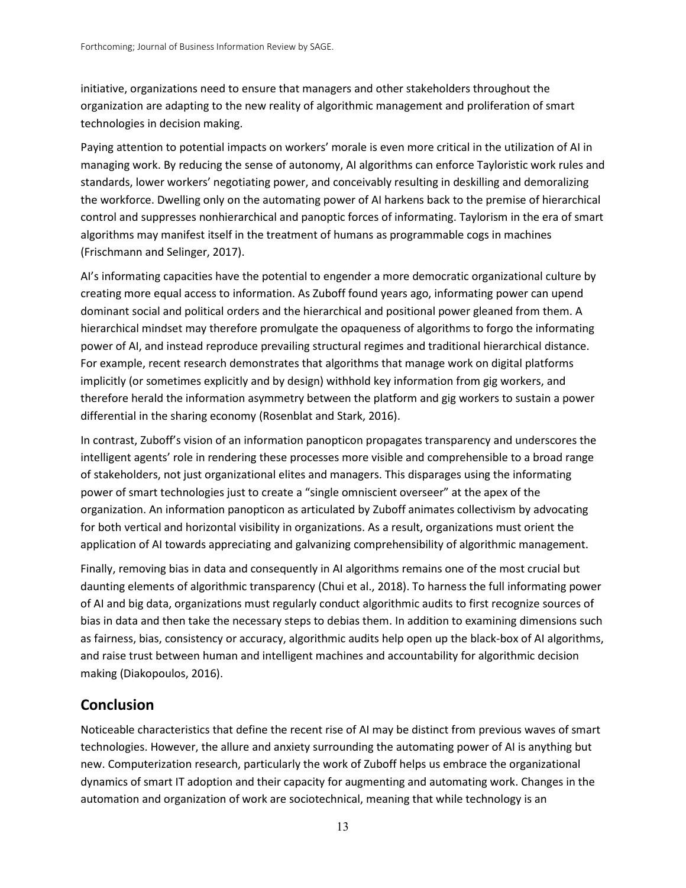initiative, organizations need to ensure that managers and other stakeholders throughout the organization are adapting to the new reality of algorithmic management and proliferation of smart technologies in decision making.

Paying attention to potential impacts on workers' morale is even more critical in the utilization of AI in managing work. By reducing the sense of autonomy, AI algorithms can enforce Tayloristic work rules and standards, lower workers' negotiating power, and conceivably resulting in deskilling and demoralizing the workforce. Dwelling only on the automating power of AI harkens back to the premise of hierarchical control and suppresses nonhierarchical and panoptic forces of informating. Taylorism in the era of smart algorithms may manifest itself in the treatment of humans as programmable cogs in machines (Frischmann and Selinger, 2017).

AI's informating capacities have the potential to engender a more democratic organizational culture by creating more equal access to information. As Zuboff found years ago, informating power can upend dominant social and political orders and the hierarchical and positional power gleaned from them. A hierarchical mindset may therefore promulgate the opaqueness of algorithms to forgo the informating power of AI, and instead reproduce prevailing structural regimes and traditional hierarchical distance. For example, recent research demonstrates that algorithms that manage work on digital platforms implicitly (or sometimes explicitly and by design) withhold key information from gig workers, and therefore herald the information asymmetry between the platform and gig workers to sustain a power differential in the sharing economy (Rosenblat and Stark, 2016).

In contrast, Zuboff's vision of an information panopticon propagates transparency and underscores the intelligent agents' role in rendering these processes more visible and comprehensible to a broad range of stakeholders, not just organizational elites and managers. This disparages using the informating power of smart technologies just to create a "single omniscient overseer" at the apex of the organization. An information panopticon as articulated by Zuboff animates collectivism by advocating for both vertical and horizontal visibility in organizations. As a result, organizations must orient the application of AI towards appreciating and galvanizing comprehensibility of algorithmic management.

Finally, removing bias in data and consequently in AI algorithms remains one of the most crucial but daunting elements of algorithmic transparency (Chui et al., 2018). To harness the full informating power of AI and big data, organizations must regularly conduct algorithmic audits to first recognize sources of bias in data and then take the necessary steps to debias them. In addition to examining dimensions such as fairness, bias, consistency or accuracy, algorithmic audits help open up the black-box of AI algorithms, and raise trust between human and intelligent machines and accountability for algorithmic decision making (Diakopoulos, 2016).

# **Conclusion**

Noticeable characteristics that define the recent rise of AI may be distinct from previous waves of smart technologies. However, the allure and anxiety surrounding the automating power of AI is anything but new. Computerization research, particularly the work of Zuboff helps us embrace the organizational dynamics of smart IT adoption and their capacity for augmenting and automating work. Changes in the automation and organization of work are sociotechnical, meaning that while technology is an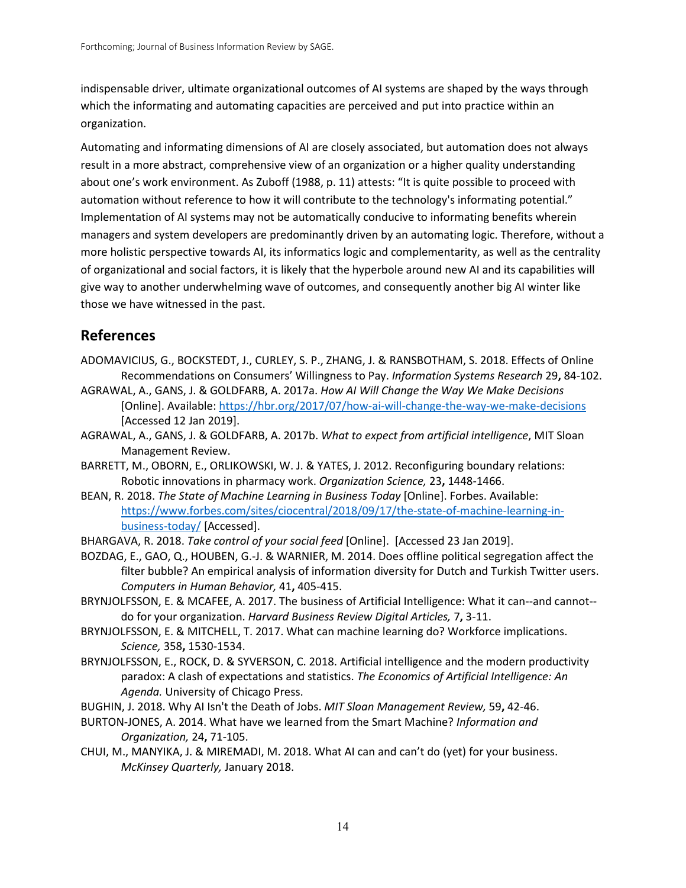indispensable driver, ultimate organizational outcomes of AI systems are shaped by the ways through which the informating and automating capacities are perceived and put into practice within an organization.

Automating and informating dimensions of AI are closely associated, but automation does not always result in a more abstract, comprehensive view of an organization or a higher quality understanding about one's work environment. As Zuboff (1988, p. 11) attests: "It is quite possible to proceed with automation without reference to how it will contribute to the technology's informating potential." Implementation of AI systems may not be automatically conducive to informating benefits wherein managers and system developers are predominantly driven by an automating logic. Therefore, without a more holistic perspective towards AI, its informatics logic and complementarity, as well as the centrality of organizational and social factors, it is likely that the hyperbole around new AI and its capabilities will give way to another underwhelming wave of outcomes, and consequently another big AI winter like those we have witnessed in the past.

# **References**

- ADOMAVICIUS, G., BOCKSTEDT, J., CURLEY, S. P., ZHANG, J. & RANSBOTHAM, S. 2018. Effects of Online Recommendations on Consumers' Willingness to Pay. *Information Systems Research* 29**,** 84-102.
- AGRAWAL, A., GANS, J. & GOLDFARB, A. 2017a. *How AI Will Change the Way We Make Decisions*  [Online]. Available[: https://hbr.org/2017/07/how-ai-will-change-the-way-we-make-decisions](https://hbr.org/2017/07/how-ai-will-change-the-way-we-make-decisions) [Accessed 12 Jan 2019].
- AGRAWAL, A., GANS, J. & GOLDFARB, A. 2017b. *What to expect from artificial intelligence*, MIT Sloan Management Review.
- BARRETT, M., OBORN, E., ORLIKOWSKI, W. J. & YATES, J. 2012. Reconfiguring boundary relations: Robotic innovations in pharmacy work. *Organization Science,* 23**,** 1448-1466.
- BEAN, R. 2018. *The State of Machine Learning in Business Today* [Online]. Forbes. Available: [https://www.forbes.com/sites/ciocentral/2018/09/17/the-state-of-machine-learning-in](https://www.forbes.com/sites/ciocentral/2018/09/17/the-state-of-machine-learning-in-business-today/)[business-today/](https://www.forbes.com/sites/ciocentral/2018/09/17/the-state-of-machine-learning-in-business-today/) [Accessed].
- BHARGAVA, R. 2018. *Take control of your social feed* [Online]. [Accessed 23 Jan 2019].
- BOZDAG, E., GAO, Q., HOUBEN, G.-J. & WARNIER, M. 2014. Does offline political segregation affect the filter bubble? An empirical analysis of information diversity for Dutch and Turkish Twitter users. *Computers in Human Behavior,* 41**,** 405-415.
- BRYNJOLFSSON, E. & MCAFEE, A. 2017. The business of Artificial Intelligence: What it can--and cannot- do for your organization. *Harvard Business Review Digital Articles,* 7**,** 3-11.
- BRYNJOLFSSON, E. & MITCHELL, T. 2017. What can machine learning do? Workforce implications. *Science,* 358**,** 1530-1534.
- BRYNJOLFSSON, E., ROCK, D. & SYVERSON, C. 2018. Artificial intelligence and the modern productivity paradox: A clash of expectations and statistics. *The Economics of Artificial Intelligence: An Agenda.* University of Chicago Press.
- BUGHIN, J. 2018. Why AI Isn't the Death of Jobs. *MIT Sloan Management Review,* 59**,** 42-46.
- BURTON-JONES, A. 2014. What have we learned from the Smart Machine? *Information and Organization,* 24**,** 71-105.
- CHUI, M., MANYIKA, J. & MIREMADI, M. 2018. What AI can and can't do (yet) for your business. *McKinsey Quarterly,* January 2018.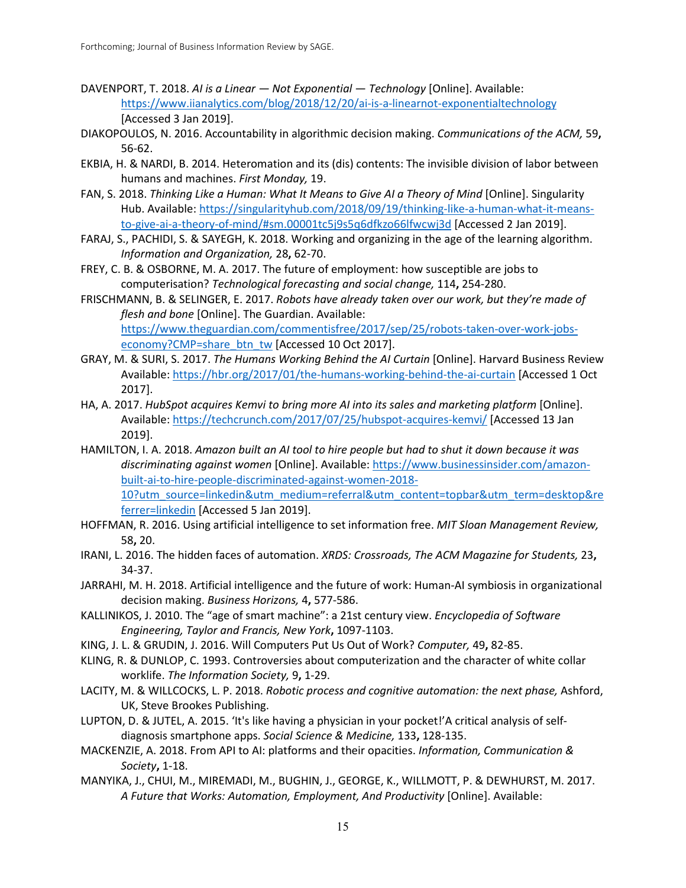- DAVENPORT, T. 2018. *AI is a Linear — Not Exponential — Technology* [Online]. Available: <https://www.iianalytics.com/blog/2018/12/20/ai-is-a-linearnot-exponentialtechnology> [Accessed 3 Jan 2019].
- DIAKOPOULOS, N. 2016. Accountability in algorithmic decision making. *Communications of the ACM,* 59**,** 56-62.
- EKBIA, H. & NARDI, B. 2014. Heteromation and its (dis) contents: The invisible division of labor between humans and machines. *First Monday,* 19.
- FAN, S. 2018. *Thinking Like a Human: What It Means to Give AI a Theory of Mind [Online]*. Singularity Hub. Available: [https://singularityhub.com/2018/09/19/thinking-like-a-human-what-it-means](https://singularityhub.com/2018/09/19/thinking-like-a-human-what-it-means-to-give-ai-a-theory-of-mind/#sm.00001tc5j9s5q6dfkzo66lfwcwj3d)[to-give-ai-a-theory-of-mind/#sm.00001tc5j9s5q6dfkzo66lfwcwj3d](https://singularityhub.com/2018/09/19/thinking-like-a-human-what-it-means-to-give-ai-a-theory-of-mind/#sm.00001tc5j9s5q6dfkzo66lfwcwj3d) [Accessed 2 Jan 2019].
- FARAJ, S., PACHIDI, S. & SAYEGH, K. 2018. Working and organizing in the age of the learning algorithm. *Information and Organization,* 28**,** 62-70.
- FREY, C. B. & OSBORNE, M. A. 2017. The future of employment: how susceptible are jobs to computerisation? *Technological forecasting and social change,* 114**,** 254-280.
- FRISCHMANN, B. & SELINGER, E. 2017. *Robots have already taken over our work, but they're made of flesh and bone* [Online]. The Guardian. Available: [https://www.theguardian.com/commentisfree/2017/sep/25/robots-taken-over-work-jobs](https://www.theguardian.com/commentisfree/2017/sep/25/robots-taken-over-work-jobs-economy?CMP=share_btn_tw)[economy?CMP=share\\_btn\\_tw](https://www.theguardian.com/commentisfree/2017/sep/25/robots-taken-over-work-jobs-economy?CMP=share_btn_tw) [Accessed 10 Oct 2017].
- GRAY, M. & SURI, S. 2017. *The Humans Working Behind the AI Curtain* [Online]. Harvard Business Review Available:<https://hbr.org/2017/01/the-humans-working-behind-the-ai-curtain> [Accessed 1 Oct 2017].
- HA, A. 2017. *HubSpot acquires Kemvi to bring more AI into its sales and marketing platform* [Online]. Available:<https://techcrunch.com/2017/07/25/hubspot-acquires-kemvi/> [Accessed 13 Jan 2019].
- HAMILTON, I. A. 2018. *Amazon built an AI tool to hire people but had to shut it down because it was discriminating against women* [Online]. Available[: https://www.businessinsider.com/amazon](https://www.businessinsider.com/amazon-built-ai-to-hire-people-discriminated-against-women-2018-10?utm_source=linkedin&utm_medium=referral&utm_content=topbar&utm_term=desktop&referrer=linkedin)[built-ai-to-hire-people-discriminated-against-women-2018-](https://www.businessinsider.com/amazon-built-ai-to-hire-people-discriminated-against-women-2018-10?utm_source=linkedin&utm_medium=referral&utm_content=topbar&utm_term=desktop&referrer=linkedin) [10?utm\\_source=linkedin&utm\\_medium=referral&utm\\_content=topbar&utm\\_term=desktop&re](https://www.businessinsider.com/amazon-built-ai-to-hire-people-discriminated-against-women-2018-10?utm_source=linkedin&utm_medium=referral&utm_content=topbar&utm_term=desktop&referrer=linkedin) [ferrer=linkedin](https://www.businessinsider.com/amazon-built-ai-to-hire-people-discriminated-against-women-2018-10?utm_source=linkedin&utm_medium=referral&utm_content=topbar&utm_term=desktop&referrer=linkedin) [Accessed 5 Jan 2019].
- HOFFMAN, R. 2016. Using artificial intelligence to set information free. *MIT Sloan Management Review,* 58**,** 20.
- IRANI, L. 2016. The hidden faces of automation. *XRDS: Crossroads, The ACM Magazine for Students,* 23**,** 34-37.
- JARRAHI, M. H. 2018. Artificial intelligence and the future of work: Human-AI symbiosis in organizational decision making. *Business Horizons,* 4**,** 577-586.
- KALLINIKOS, J. 2010. The "age of smart machine": a 21st century view. *Encyclopedia of Software Engineering, Taylor and Francis, New York***,** 1097-1103.
- KING, J. L. & GRUDIN, J. 2016. Will Computers Put Us Out of Work? *Computer,* 49**,** 82-85.
- KLING, R. & DUNLOP, C. 1993. Controversies about computerization and the character of white collar worklife. *The Information Society,* 9**,** 1-29.
- LACITY, M. & WILLCOCKS, L. P. 2018. *Robotic process and cognitive automation: the next phase,* Ashford, UK, Steve Brookes Publishing.
- LUPTON, D. & JUTEL, A. 2015. 'It's like having a physician in your pocket!'A critical analysis of selfdiagnosis smartphone apps. *Social Science & Medicine,* 133**,** 128-135.
- MACKENZIE, A. 2018. From API to AI: platforms and their opacities. *Information, Communication & Society***,** 1-18.
- MANYIKA, J., CHUI, M., MIREMADI, M., BUGHIN, J., GEORGE, K., WILLMOTT, P. & DEWHURST, M. 2017. *A Future that Works: Automation, Employment, And Productivity* [Online]. Available: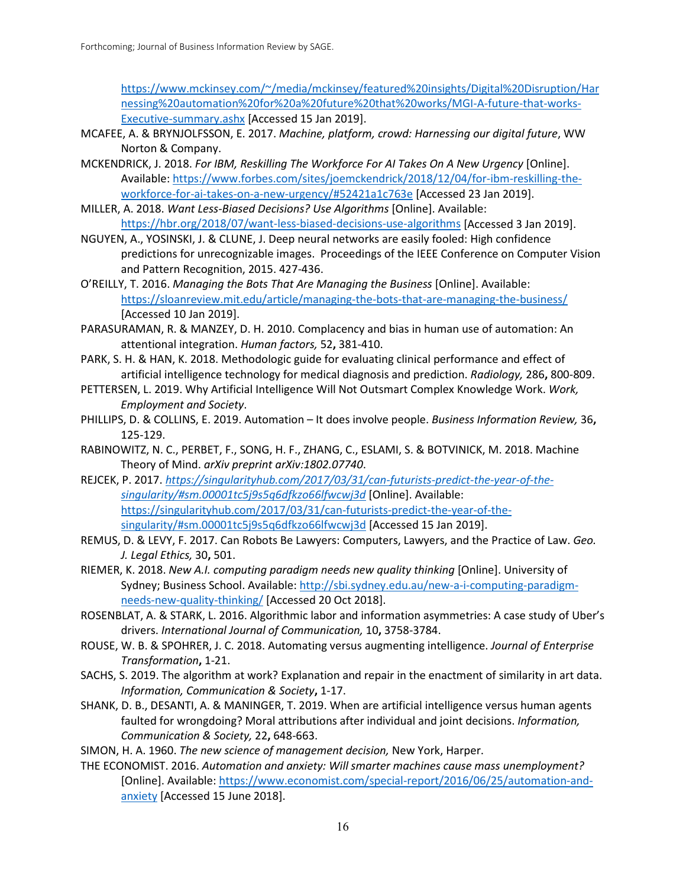[https://www.mckinsey.com/~/media/mckinsey/featured%20insights/Digital%20Disruption/Har](https://www.mckinsey.com/%7E/media/mckinsey/featured%20insights/Digital%20Disruption/Harnessing%20automation%20for%20a%20future%20that%20works/MGI-A-future-that-works-Executive-summary.ashx) [nessing%20automation%20for%20a%20future%20that%20works/MGI-A-future-that-works-](https://www.mckinsey.com/%7E/media/mckinsey/featured%20insights/Digital%20Disruption/Harnessing%20automation%20for%20a%20future%20that%20works/MGI-A-future-that-works-Executive-summary.ashx)[Executive-summary.ashx](https://www.mckinsey.com/%7E/media/mckinsey/featured%20insights/Digital%20Disruption/Harnessing%20automation%20for%20a%20future%20that%20works/MGI-A-future-that-works-Executive-summary.ashx) [Accessed 15 Jan 2019].

- MCAFEE, A. & BRYNJOLFSSON, E. 2017. *Machine, platform, crowd: Harnessing our digital future*, WW Norton & Company.
- MCKENDRICK, J. 2018. *For IBM, Reskilling The Workforce For AI Takes On A New Urgency* [Online]. Available: [https://www.forbes.com/sites/joemckendrick/2018/12/04/for-ibm-reskilling-the](https://www.forbes.com/sites/joemckendrick/2018/12/04/for-ibm-reskilling-the-workforce-for-ai-takes-on-a-new-urgency/#52421a1c763e)[workforce-for-ai-takes-on-a-new-urgency/#52421a1c763e](https://www.forbes.com/sites/joemckendrick/2018/12/04/for-ibm-reskilling-the-workforce-for-ai-takes-on-a-new-urgency/#52421a1c763e) [Accessed 23 Jan 2019].
- MILLER, A. 2018. *Want Less-Biased Decisions? Use Algorithms* [Online]. Available: <https://hbr.org/2018/07/want-less-biased-decisions-use-algorithms> [Accessed 3 Jan 2019].
- NGUYEN, A., YOSINSKI, J. & CLUNE, J. Deep neural networks are easily fooled: High confidence predictions for unrecognizable images. Proceedings of the IEEE Conference on Computer Vision and Pattern Recognition, 2015. 427-436.
- O'REILLY, T. 2016. *Managing the Bots That Are Managing the Business* [Online]. Available: <https://sloanreview.mit.edu/article/managing-the-bots-that-are-managing-the-business/> [Accessed 10 Jan 2019].
- PARASURAMAN, R. & MANZEY, D. H. 2010. Complacency and bias in human use of automation: An attentional integration. *Human factors,* 52**,** 381-410.
- PARK, S. H. & HAN, K. 2018. Methodologic guide for evaluating clinical performance and effect of artificial intelligence technology for medical diagnosis and prediction. *Radiology,* 286**,** 800-809.
- PETTERSEN, L. 2019. Why Artificial Intelligence Will Not Outsmart Complex Knowledge Work. *Work, Employment and Society*.
- PHILLIPS, D. & COLLINS, E. 2019. Automation It does involve people. *Business Information Review,* 36**,** 125-129.
- RABINOWITZ, N. C., PERBET, F., SONG, H. F., ZHANG, C., ESLAMI, S. & BOTVINICK, M. 2018. Machine Theory of Mind. *arXiv preprint arXiv:1802.07740*.
- REJCEK, P. 2017. *[https://singularityhub.com/2017/03/31/can-futurists-predict-the-year-of-the](https://singularityhub.com/2017/03/31/can-futurists-predict-the-year-of-the-singularity/#sm.00001tc5j9s5q6dfkzo66lfwcwj3d)[singularity/#sm.00001tc5j9s5q6dfkzo66lfwcwj3d](https://singularityhub.com/2017/03/31/can-futurists-predict-the-year-of-the-singularity/#sm.00001tc5j9s5q6dfkzo66lfwcwj3d)* [Online]. Available: [https://singularityhub.com/2017/03/31/can-futurists-predict-the-year-of-the](https://singularityhub.com/2017/03/31/can-futurists-predict-the-year-of-the-singularity/#sm.00001tc5j9s5q6dfkzo66lfwcwj3d)[singularity/#sm.00001tc5j9s5q6dfkzo66lfwcwj3d](https://singularityhub.com/2017/03/31/can-futurists-predict-the-year-of-the-singularity/#sm.00001tc5j9s5q6dfkzo66lfwcwj3d) [Accessed 15 Jan 2019].
- REMUS, D. & LEVY, F. 2017. Can Robots Be Lawyers: Computers, Lawyers, and the Practice of Law. *Geo. J. Legal Ethics,* 30**,** 501.
- RIEMER, K. 2018. *New A.I. computing paradigm needs new quality thinking* [Online]. University of Sydney; Business School. Available: [http://sbi.sydney.edu.au/new-a-i-computing-paradigm](http://sbi.sydney.edu.au/new-a-i-computing-paradigm-needs-new-quality-thinking/)[needs-new-quality-thinking/](http://sbi.sydney.edu.au/new-a-i-computing-paradigm-needs-new-quality-thinking/) [Accessed 20 Oct 2018].
- ROSENBLAT, A. & STARK, L. 2016. Algorithmic labor and information asymmetries: A case study of Uber's drivers. *International Journal of Communication,* 10**,** 3758-3784.
- ROUSE, W. B. & SPOHRER, J. C. 2018. Automating versus augmenting intelligence. *Journal of Enterprise Transformation***,** 1-21.
- SACHS, S. 2019. The algorithm at work? Explanation and repair in the enactment of similarity in art data. *Information, Communication & Society***,** 1-17.
- SHANK, D. B., DESANTI, A. & MANINGER, T. 2019. When are artificial intelligence versus human agents faulted for wrongdoing? Moral attributions after individual and joint decisions. *Information, Communication & Society,* 22**,** 648-663.
- SIMON, H. A. 1960. *The new science of management decision,* New York, Harper.
- THE ECONOMIST. 2016. *Automation and anxiety: Will smarter machines cause mass unemployment?*  [Online]. Available[: https://www.economist.com/special-report/2016/06/25/automation-and](https://www.economist.com/special-report/2016/06/25/automation-and-anxiety)[anxiety](https://www.economist.com/special-report/2016/06/25/automation-and-anxiety) [Accessed 15 June 2018].